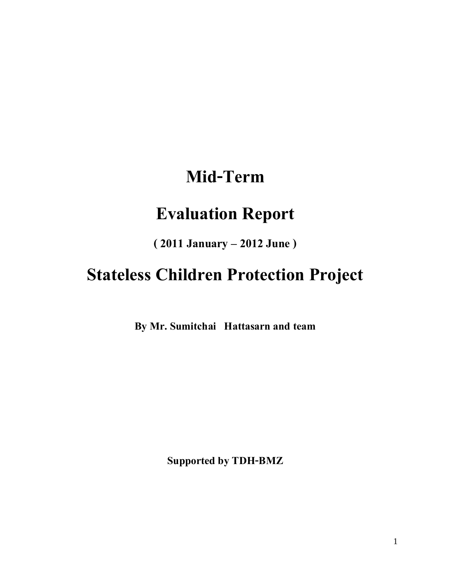# **Mid-Term**

# **Evaluation Report**

**( 2011 January – 2012 June )** 

# **Stateless Children Protection Project**

**By Mr. Sumitchai Hattasarn and team**

**Supported by TDH-BMZ**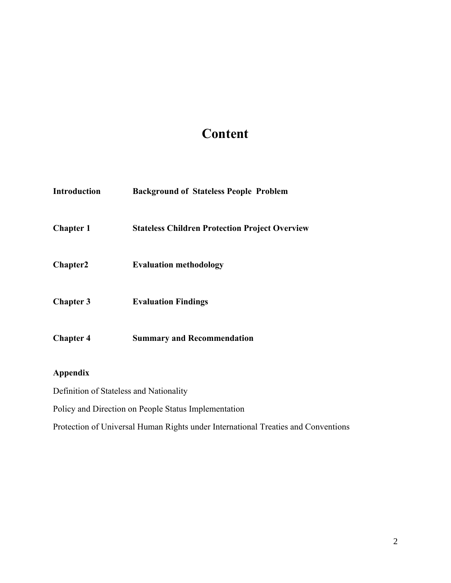## **Content**

| <b>Introduction</b>  | <b>Background of Stateless People Problem</b>         |
|----------------------|-------------------------------------------------------|
| <b>Chapter 1</b>     | <b>Stateless Children Protection Project Overview</b> |
| Chapter <sub>2</sub> | <b>Evaluation methodology</b>                         |
| <b>Chapter 3</b>     | <b>Evaluation Findings</b>                            |
| <b>Chapter 4</b>     | <b>Summary and Recommendation</b>                     |

## **Appendix**

Definition of Stateless and Nationality

Policy and Direction on People Status Implementation

Protection of Universal Human Rights under International Treaties and Conventions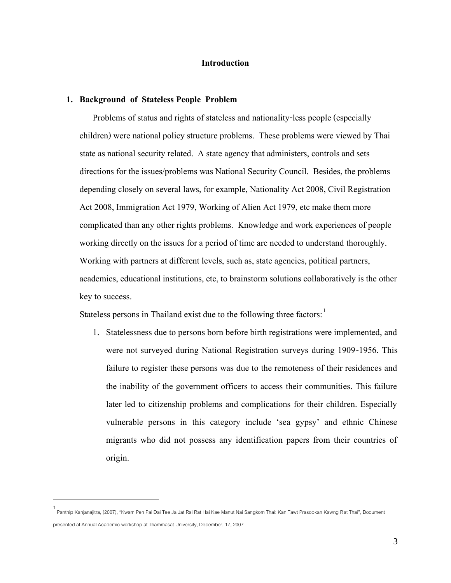## **Introduction**

#### **1. Background of Stateless People Problem**

Problems of status and rights of stateless and nationality-less people (especially children) were national policy structure problems. These problems were viewed by Thai state as national security related. A state agency that administers, controls and sets directions for the issues/problems was National Security Council. Besides, the problems depending closely on several laws, for example, Nationality Act 2008, Civil Registration Act 2008, Immigration Act 1979, Working of Alien Act 1979, etc make them more complicated than any other rights problems. Knowledge and work experiences of people working directly on the issues for a period of time are needed to understand thoroughly. Working with partners at different levels, such as, state agencies, political partners, academics, educational institutions, etc, to brainstorm solutions collaboratively is the other key to success.

Stateless persons in Thailand exist due to the following three factors:

1. Statelessness due to persons born before birth registrations were implemented, and were not surveyed during National Registration surveys during 1909-1956. This failure to register these persons was due to the remoteness of their residences and the inability of the government officers to access their communities. This failure later led to citizenship problems and complications for their children. Especially vulnerable persons in this category include 'sea gypsy' and ethnic Chinese migrants who did not possess any identification papers from their countries of origin.

 $\overline{a}$ 

<sup>1</sup> Panthip Kanjanajitra, (2007), "Kwam Pen Pai Dai Tee Ja Jat Rai Rat Hai Kae Manut Nai Sangkom Thai: Kan Tawt Prasopkan Kawng Rat Thai", Document presented at Annual Academic workshop at Thammasat University, December, 17, 2007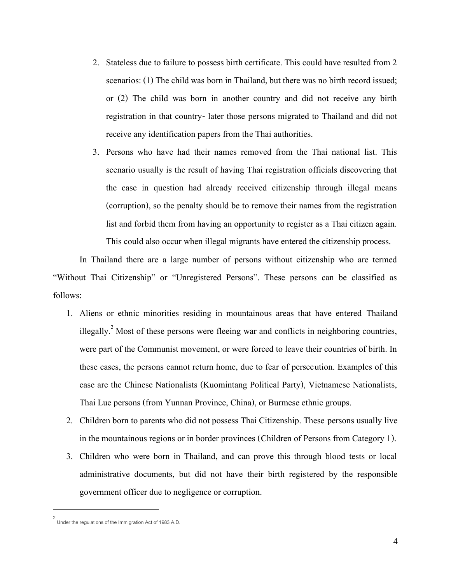- 2. Stateless due to failure to possess birth certificate. This could have resulted from 2 scenarios: (1) The child was born in Thailand, but there was no birth record issued; or (2) The child was born in another country and did not receive any birth registration in that country- later those persons migrated to Thailand and did not receive any identification papers from the Thai authorities.
- 3. Persons who have had their names removed from the Thai national list. This scenario usually is the result of having Thai registration officials discovering that the case in question had already received citizenship through illegal means (corruption), so the penalty should be to remove their names from the registration list and forbid them from having an opportunity to register as a Thai citizen again. This could also occur when illegal migrants have entered the citizenship process.

In Thailand there are a large number of persons without citizenship who are termed "Without Thai Citizenship" or "Unregistered Persons". These persons can be classified as follows:

- 1. Aliens or ethnic minorities residing in mountainous areas that have entered Thailand illegally.<sup>2</sup> Most of these persons were fleeing war and conflicts in neighboring countries, were part of the Communist movement, or were forced to leave their countries of birth. In these cases, the persons cannot return home, due to fear of persecution. Examples of this case are the Chinese Nationalists (Kuomintang Political Party), Vietnamese Nationalists, Thai Lue persons (from Yunnan Province, China), or Burmese ethnic groups.
- 2. Children born to parents who did not possess Thai Citizenship. These persons usually live in the mountainous regions or in border provinces (Children of Persons from Category 1).
- 3. Children who were born in Thailand, and can prove this through blood tests or local administrative documents, but did not have their birth registered by the responsible government officer due to negligence or corruption.

 $\overline{a}$ 

<sup>2</sup> Under the regulations of the Immigration Act of 1983 A.D.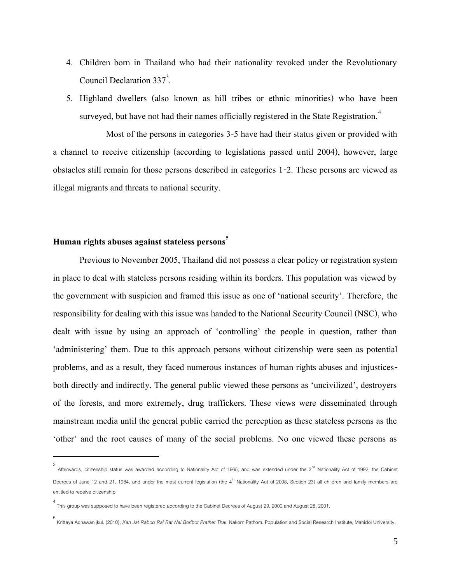- 4. Children born in Thailand who had their nationality revoked under the Revolutionary Council Declaration  $337<sup>3</sup>$ . .
- 5. Highland dwellers (also known as hill tribes or ethnic minorities) who have been surveyed, but have not had their names officially registered in the State Registration.<sup>4</sup>

Most of the persons in categories 3-5 have had their status given or provided with a channel to receive citizenship (according to legislations passed until 2004), however, large obstacles still remain for those persons described in categories 1-2. These persons are viewed as illegal migrants and threats to national security.

## **Human rights abuses against stateless persons<sup>5</sup>**

 $\overline{a}$ 

Previous to November 2005, Thailand did not possess a clear policy or registration system in place to deal with stateless persons residing within its borders. This population was viewed by the government with suspicion and framed this issue as one of 'national security'. Therefore, the responsibility for dealing with this issue was handed to the National Security Council (NSC), who dealt with issue by using an approach of 'controlling' the people in question, rather than 'administering' them. Due to this approach persons without citizenship were seen as potential problems, and as a result, they faced numerous instances of human rights abuses and injusticesboth directly and indirectly. The general public viewed these persons as 'uncivilized', destroyers of the forests, and more extremely, drug traffickers. These views were disseminated through mainstream media until the general public carried the perception as these stateless persons as the 'other' and the root causes of many of the social problems. No one viewed these persons as

<sup>3&</sup>lt;br>Afterwards, citizenship status was awarded according to Nationality Act of 1965, and was extended under the 2<sup>nd</sup> Nationality Act of 1992, the Cabinet Decrees of June 12 and 21, 1984, and under the most current legislation (the 4<sup>th</sup> Nationality Act of 2008, Section 23) all children and family members are entitled to receive citizenship.

<sup>4</sup> This group was supposed to have been registered according to the Cabinet Decrees of August 29, 2000 and August 28, 2001.

<sup>5</sup> Krittaya Achawanijkul. (2010), *Kan Jat Rabob Rai Rat Nai Boribot Prathet Thai*. Nakorn Pathom. Population and Social Research Institute, Mahidol University.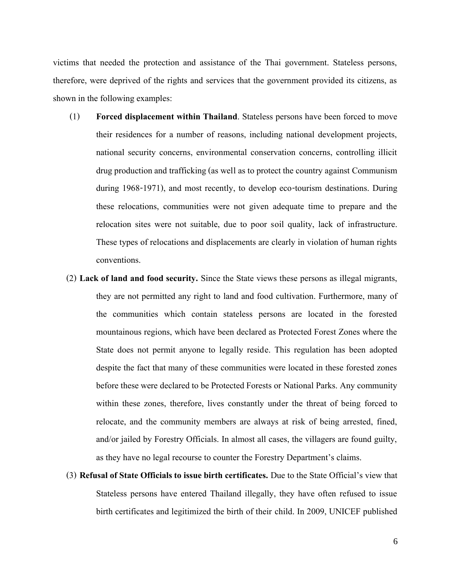victims that needed the protection and assistance of the Thai government. Stateless persons, therefore, were deprived of the rights and services that the government provided its citizens, as shown in the following examples:

- (1) **Forced displacement within Thailand**. Stateless persons have been forced to move their residences for a number of reasons, including national development projects, national security concerns, environmental conservation concerns, controlling illicit drug production and trafficking (as well as to protect the country against Communism during 1968-1971), and most recently, to develop eco-tourism destinations. During these relocations, communities were not given adequate time to prepare and the relocation sites were not suitable, due to poor soil quality, lack of infrastructure. These types of relocations and displacements are clearly in violation of human rights conventions.
- (2) **Lack of land and food security.** Since the State views these persons as illegal migrants, they are not permitted any right to land and food cultivation. Furthermore, many of the communities which contain stateless persons are located in the forested mountainous regions, which have been declared as Protected Forest Zones where the State does not permit anyone to legally reside. This regulation has been adopted despite the fact that many of these communities were located in these forested zones before these were declared to be Protected Forests or National Parks. Any community within these zones, therefore, lives constantly under the threat of being forced to relocate, and the community members are always at risk of being arrested, fined, and/or jailed by Forestry Officials. In almost all cases, the villagers are found guilty, as they have no legal recourse to counter the Forestry Department's claims.
- (3) **Refusal of State Officials to issue birth certificates.** Due to the State Official's view that Stateless persons have entered Thailand illegally, they have often refused to issue birth certificates and legitimized the birth of their child. In 2009, UNICEF published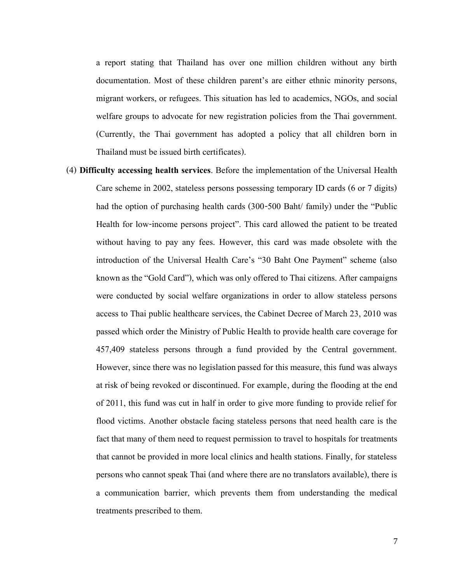a report stating that Thailand has over one million children without any birth documentation. Most of these children parent's are either ethnic minority persons, migrant workers, or refugees. This situation has led to academics, NGOs, and social welfare groups to advocate for new registration policies from the Thai government. (Currently, the Thai government has adopted a policy that all children born in Thailand must be issued birth certificates).

(4) **Difficulty accessing health services**. Before the implementation of the Universal Health Care scheme in 2002, stateless persons possessing temporary ID cards (6 or 7 digits) had the option of purchasing health cards (300-500 Baht/ family) under the "Public Health for low-income persons project". This card allowed the patient to be treated without having to pay any fees. However, this card was made obsolete with the introduction of the Universal Health Care's "30 Baht One Payment" scheme (also known as the "Gold Card"), which was only offered to Thai citizens. After campaigns were conducted by social welfare organizations in order to allow stateless persons access to Thai public healthcare services, the Cabinet Decree of March 23, 2010 was passed which order the Ministry of Public Health to provide health care coverage for 457,409 stateless persons through a fund provided by the Central government. However, since there was no legislation passed for this measure, this fund was always at risk of being revoked or discontinued. For example, during the flooding at the end of 2011, this fund was cut in half in order to give more funding to provide relief for flood victims. Another obstacle facing stateless persons that need health care is the fact that many of them need to request permission to travel to hospitals for treatments that cannot be provided in more local clinics and health stations. Finally, for stateless persons who cannot speak Thai (and where there are no translators available), there is a communication barrier, which prevents them from understanding the medical treatments prescribed to them.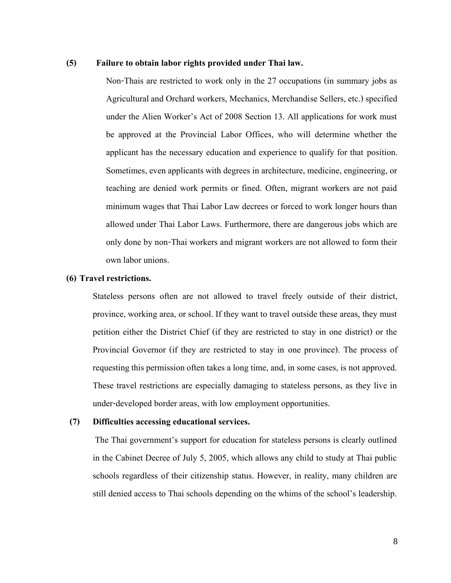## **(5) Failure to obtain labor rights provided under Thai law.**

Non-Thais are restricted to work only in the 27 occupations (in summary jobs as Agricultural and Orchard workers, Mechanics, Merchandise Sellers, etc.) specified under the Alien Worker's Act of 2008 Section 13. All applications for work must be approved at the Provincial Labor Offices, who will determine whether the applicant has the necessary education and experience to qualify for that position. Sometimes, even applicants with degrees in architecture, medicine, engineering, or teaching are denied work permits or fined. Often, migrant workers are not paid minimum wages that Thai Labor Law decrees or forced to work longer hours than allowed under Thai Labor Laws. Furthermore, there are dangerous jobs which are only done by non-Thai workers and migrant workers are not allowed to form their own labor unions.

#### **(6) Travel restrictions.**

Stateless persons often are not allowed to travel freely outside of their district, province, working area, or school. If they want to travel outside these areas, they must petition either the District Chief (if they are restricted to stay in one district) or the Provincial Governor (if they are restricted to stay in one province). The process of requesting this permission often takes a long time, and, in some cases, is not approved. These travel restrictions are especially damaging to stateless persons, as they live in under-developed border areas, with low employment opportunities.

## **(7) Difficulties accessing educational services.**

The Thai government's support for education for stateless persons is clearly outlined in the Cabinet Decree of July 5, 2005, which allows any child to study at Thai public schools regardless of their citizenship status. However, in reality, many children are still denied access to Thai schools depending on the whims of the school's leadership.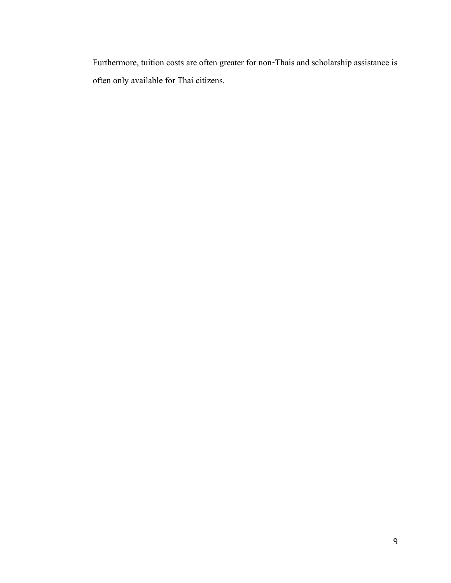Furthermore, tuition costs are often greater for non-Thais and scholarship assistance is often only available for Thai citizens.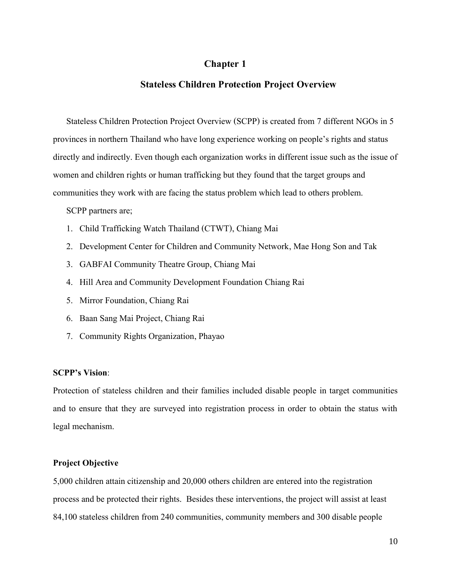## **Chapter1**

## **Stateless Children Protection Project Overview**

Stateless Children Protection Project Overview (SCPP) is created from 7 different NGOs in 5 provinces in northern Thailand who have long experience working on people's rights and status directly and indirectly. Even though each organization works in different issue such as the issue of women and children rights or human trafficking but they found that the target groups and communities they work with are facing the status problem which lead to others problem.

SCPP partners are;

- 1. Child Trafficking Watch Thailand (CTWT), Chiang Mai
- 2. Development Center for Children and Community Network, Mae Hong Son and Tak
- 3. GABFAI Community Theatre Group, Chiang Mai
- 4. Hill Area and Community Development Foundation Chiang Rai
- 5. Mirror Foundation, Chiang Rai
- 6. Baan Sang Mai Project, Chiang Rai
- 7. Community Rights Organization, Phayao

## **SCPP's Vision**:

Protection of stateless children and their families included disable people in target communities and to ensure that they are surveyed into registration process in order to obtain the status with legal mechanism.

## **Project Objective**

5,000 children attain citizenship and 20,000 others children are enteredinto the registration process and be protected their rights. Besides these interventions, the project will assist at least 84,100 stateless children from 240 communities, community members and 300 disable people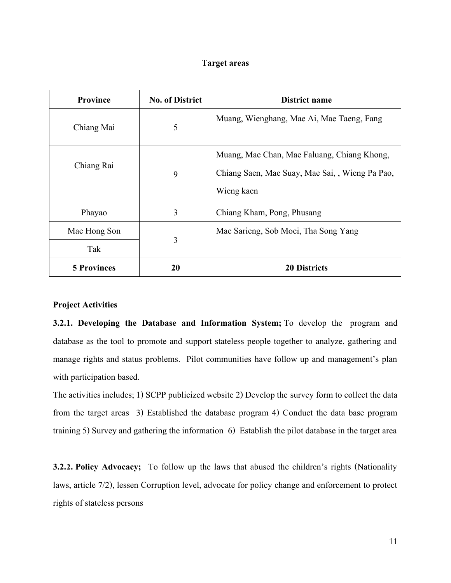## **Target areas**

| Province           | <b>No. of District</b> | District name                                                                                                |
|--------------------|------------------------|--------------------------------------------------------------------------------------------------------------|
| Chiang Mai         | 5                      | Muang, Wienghang, Mae Ai, Mae Taeng, Fang                                                                    |
| Chiang Rai         | 9                      | Muang, Mae Chan, Mae Faluang, Chiang Khong,<br>Chiang Saen, Mae Suay, Mae Sai, , Wieng Pa Pao,<br>Wieng kaen |
| Phayao             | 3                      | Chiang Kham, Pong, Phusang                                                                                   |
| Mae Hong Son       |                        | Mae Sarieng, Sob Moei, Tha Song Yang                                                                         |
| Tak                | 3                      |                                                                                                              |
| <b>5 Provinces</b> | 20                     | <b>20 Districts</b>                                                                                          |

## **Project Activities**

**3.2.1. Developing the Database and Information System;** To develop the program and database as the tool to promote and support stateless people together to analyze, gathering and manage rights and status problems. Pilot communities have follow up and management's plan with participation based.

The activities includes; 1) SCPP publicized website 2) Develop the survey form to collect the data from the target areas 3) Established the database program 4) Conduct the data base program training 5) Survey and gathering the information 6) Establish the pilot database in the target area

**3.2.2. Policy Advocacy;** To follow up the laws that abused the children's rights (Nationality laws, article 7/2), lessen Corruption level, advocate for policy change and enforcement to protect rights of stateless persons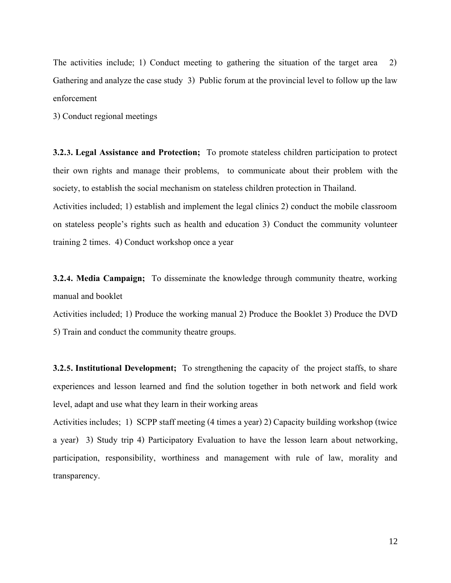The activities include; 1) Conduct meeting to gathering the situation of the target area 2) Gathering and analyze the case study 3) Public forum at the provincial level to follow up the law enforcement

3) Conduct regional meetings

**3.2.3. Legal Assistance and Protection;** To promote stateless children participation to protect their own rights and manage their problems, to communicate about their problem with the society, to establish the social mechanism on stateless children protection in Thailand.

Activities included; 1) establish and implement the legal clinics 2) conduct the mobile classroom on stateless people's rights such as health and education 3) Conduct the community volunteer training 2 times. 4) Conduct workshop once a year

**3.2.4. Media Campaign;** To disseminate the knowledge through community theatre, working manual and booklet

Activities included; 1) Produce the working manual 2) Produce the Booklet 3) Produce the DVD 5) Train and conduct the community theatre groups.

**3.2.5. Institutional Development;** To strengthening the capacity of the project staffs, to share experiences and lesson learned and find the solution together in both network and field work level, adapt and use what they learn in their working areas

Activities includes; 1) SCPP staff meeting (4 times a year) 2) Capacity building workshop (twice a year) 3) Study trip 4) Participatory Evaluation to have the lesson learn about networking, participation, responsibility, worthiness and management with rule of law, morality and transparency.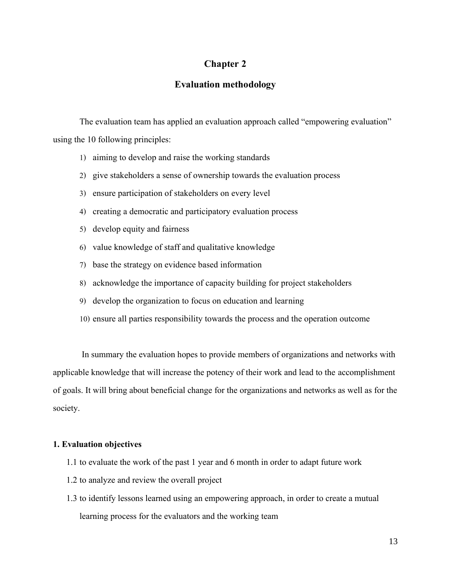## **Chapter2**

## **Evaluation methodology**

The evaluation team has applied an evaluation approach called "empowering evaluation" using the 10 following principles:

- 1) aiming to develop and raise the working standards
- 2) give stakeholders a sense of ownership towards the evaluation process
- 3) ensure participation of stakeholders on every level
- 4) creating a democratic and participatory evaluation process
- 5) develop equity and fairness
- 6) value knowledge of staff and qualitative knowledge
- 7) base the strategy on evidence based information
- 8) acknowledge the importance of capacity building for project stakeholders
- 9) develop the organization to focus on education and learning
- 10) ensure all parties responsibility towards the process and the operation outcome

In summary the evaluation hopes to provide members of organizations and networks with applicable knowledge that will increase the potency of their work and lead to the accomplishment of goals. It will bring about beneficial change for the organizations and networks as well as for the society.

#### **1. Evaluation objectives**

- 1.1 to evaluate the work of the past 1 year and 6 month in order to adapt future work
- 1.2 to analyze and review the overall project
- 1.3 to identify lessons learned using an empowering approach, in order to create a mutual learning process for the evaluators and the working team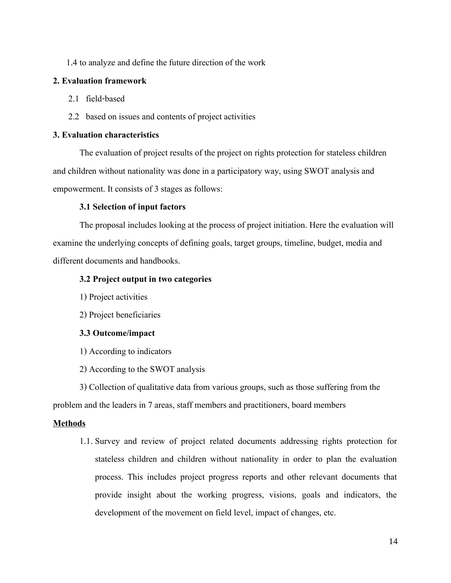1.4 to analyze and define the future direction of the work

## **2. Evaluation framework**

- 2.1 field-based
- 2.2 based on issues and contents of project activities

## **3. Evaluation characteristics**

The evaluation of project results of the project on rights protection for stateless children and children without nationality was done in a participatory way, using SWOT analysis and empowerment. It consists of 3 stages as follows:

## **3.1 Selection of input factors**

The proposal includes looking at the process of project initiation. Here the evaluation will examine the underlying concepts of defining goals, target groups, timeline, budget, media and different documents and handbooks.

## **3.2 Project output in two categories**

- 1) Project activities
- 2) Project beneficiaries

## **3.3 Outcome/impact**

1) According to indicators

2) According to the SWOT analysis

3) Collection of qualitative data from various groups, such as those suffering from the problem and the leaders in 7 areas, staff members and practitioners, board members

## **Methods**

1.1.Survey and review of project related documents addressing rights protection for stateless children and children without nationality in order to plan the evaluation process. This includes project progress reports and other relevant documents that provide insight about the working progress, visions, goals and indicators, the development of the movement on field level, impact of changes, etc.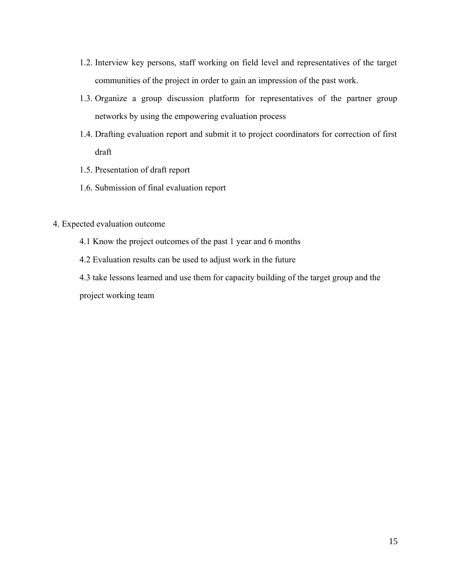- 1.2. Interview key persons, staff working on field level and representatives of the target communities of the project in order to gain an impression of the past work.
- 1.3. Organize a group discussion platform for representatives of the partner group networks by using the empowering evaluation process
- 1.4. Drafting evaluation report and submit it to project coordinators for correction of first draft
- 1.5.Presentation of draft report
- 1.6.Submission of final evaluation report

## 4. Expected evaluation outcome

- 4.1 Know the project outcomes of the past 1 year and 6 months
- 4.2 Evaluation results can be used to adjust work in the future

4.3 take lessons learned and use them for capacity building of the target group and the project working team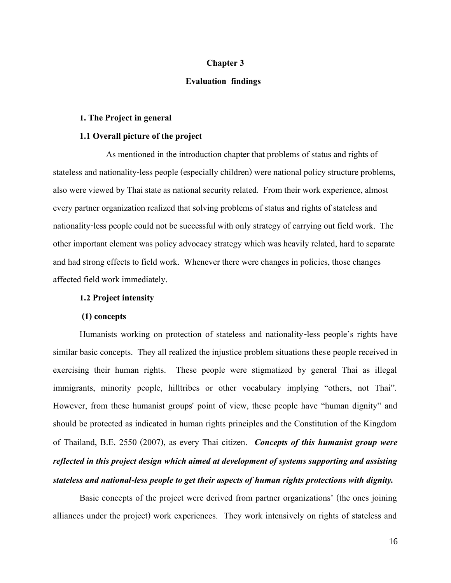## **Chapter 3**

## **Evaluation findings**

## **1. The Project in general**

#### **1.1 Overall picture of the project**

As mentioned in the introduction chapter that problems of status and rights of stateless and nationality-less people (especially children) were national policy structure problems, also were viewed by Thai state as national security related. From their work experience, almost every partner organization realized that solving problems of status and rights of stateless and nationality-less people could not be successful with only strategy of carrying out field work. The other important element was policy advocacy strategy which was heavily related, hard to separate and had strong effects to field work. Whenever there were changes in policies, those changes affected field work immediately.

#### **1.2 Project intensity**

## **(1) concepts**

Humanists working on protection of stateless and nationality-less people's rights have similar basic concepts. They all realized the injustice problem situations these people received in exercising their human rights. These people were stigmatized by general Thai as illegal immigrants, minority people, hilltribes or other vocabulary implying "others, not Thai". However, from these humanist groups' point of view, these people have "human dignity" and should be protected as indicated in human rights principles and the Constitution of the Kingdom of Thailand, B.E. 2550 (2007), as every Thai citizen. *Concepts of this humanist group were reflected in this project design which aimed at development of systems supporting and assisting stateless and national-less people to get their aspects of human rights protections with dignity.*

Basic concepts of the project were derived from partner organizations' (the ones joining alliances under the project) work experiences. They work intensively on rights of stateless and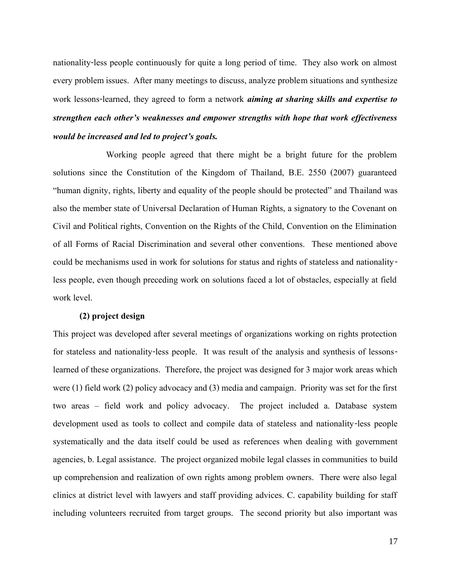nationality-less people continuously for quite a long period of time. They also work on almost every problem issues. After many meetings to discuss, analyze problem situations and synthesize work lessons-learned, they agreed to form a network *aiming at sharing skills and expertise to strengthen each other's weaknesses and empower strengths with hope that work effectiveness would be increased and led to project's goals.*

Working people agreed that there might be a bright future for the problem solutions since the Constitution of the Kingdom of Thailand, B.E. 2550 (2007) guaranteed "human dignity, rights, liberty and equality of the people should be protected" and Thailand was also the member state of Universal Declaration of Human Rights, a signatory to the Covenant on Civil and Political rights, Convention on the Rights of the Child, Convention on the Elimination of all Forms of Racial Discrimination and several other conventions. These mentioned above could be mechanisms used in work for solutions for status and rights of stateless and nationalityless people, even though preceding work on solutions faced a lot of obstacles, especially at field work level.

#### **(2) project design**

This project was developed after several meetings of organizations working on rights protection for stateless and nationality-less people. It was result of the analysis and synthesis of lessonslearned of these organizations. Therefore, the project was designed for 3 major work areas which were (1) field work (2) policy advocacy and (3) media and campaign. Priority was set for the first two areas – field work and policy advocacy. The project included a. Database system development used as tools to collect and compile data of stateless and nationality-less people systematically and the data itself could be used as references when dealing with government agencies, b. Legal assistance. The project organized mobile legal classes in communities to build up comprehension and realization of own rights among problem owners. There were also legal clinics at district level with lawyers and staff providing advices. C. capability building for staff including volunteers recruited from target groups. The second priority but also important was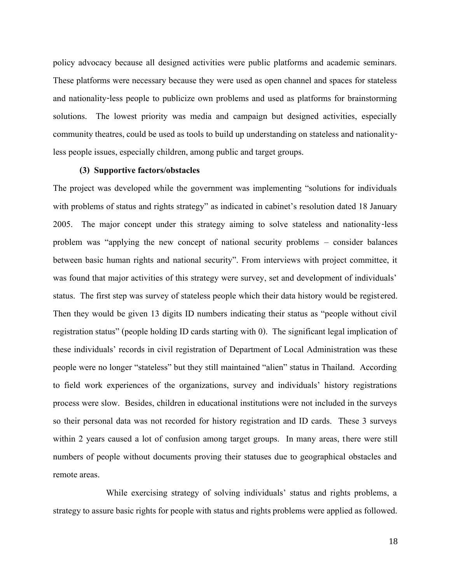policy advocacy because all designed activities were public platforms and academic seminars. These platforms were necessary because they were used as open channel and spaces for stateless and nationality-less people to publicize own problems and used as platforms for brainstorming solutions. The lowest priority was media and campaign but designed activities, especially community theatres, could be used as tools to build up understanding on stateless and nationalityless people issues, especially children, among public and target groups.

## **(3) Supportive factors/obstacles**

The project was developed while the government was implementing "solutions for individuals with problems of status and rights strategy" as indicated in cabinet's resolution dated 18 January 2005. The major concept under this strategy aiming to solve stateless and nationality-less problem was "applying the new concept of national security problems – consider balances between basic human rights and national security". From interviews with project committee, it was found that major activities of this strategy were survey, set and development of individuals' status. The first step was survey of stateless people which their data history would be registered. Then they would be given 13 digits ID numbers indicating their status as "people without civil registration status" (people holding ID cards starting with 0). The significant legal implication of these individuals' records in civil registration of Department of Local Administration was these people were no longer "stateless" but they still maintained "alien" status in Thailand. According to field work experiences of the organizations, survey and individuals' history registrations process were slow. Besides, children in educational institutions were not included in the surveys so their personal data was not recorded for history registration and ID cards. These 3 surveys within 2 years caused a lot of confusion among target groups. In many areas, there were still numbers of people without documents proving their statuses due to geographical obstacles and remote areas.

While exercising strategy of solving individuals' status and rights problems, a strategy to assure basic rights for people with status and rights problems were applied as followed.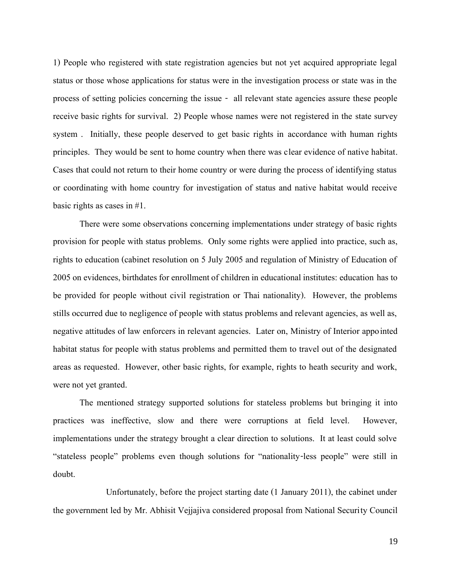1) People who registered with state registration agencies but not yet acquired appropriate legal status or those whose applications for status were in the investigation process or state was in the process of setting policies concerning the issue - all relevant state agencies assure these people receive basic rights for survival. 2) People whose names were not registered in the state survey system . Initially, these people deserved to get basic rights in accordance with human rights principles. They would be sent to home country when there was clear evidence of native habitat. Cases that could not return to their home country or were during the process of identifying status or coordinating with home country for investigation of status and native habitat would receive basic rights as cases in #1.

There were some observations concerning implementations under strategy of basic rights provision for people with status problems. Only some rights were applied into practice, such as, rights to education (cabinet resolution on 5 July 2005 and regulation of Ministry of Education of 2005 on evidences, birthdates for enrollment of children in educational institutes: education has to be provided for people without civil registration or Thai nationality). However, the problems stills occurred due to negligence of people with status problems and relevant agencies, as well as, negative attitudes of law enforcers in relevant agencies. Later on, Ministry of Interior appointed habitat status for people with status problems and permitted them to travel out of the designated areas as requested. However, other basic rights, for example, rights to heath security and work, were not yet granted.

The mentioned strategy supported solutions for stateless problems but bringing it into practices was ineffective, slow and there were corruptions at field level. However, implementations under the strategy brought a clear direction to solutions. It at least could solve "stateless people" problems even though solutions for "nationality-less people" were still in doubt.

Unfortunately, before the project starting date (1 January 2011), the cabinet under the government led by Mr. Abhisit Vejjajiva considered proposal from National Security Council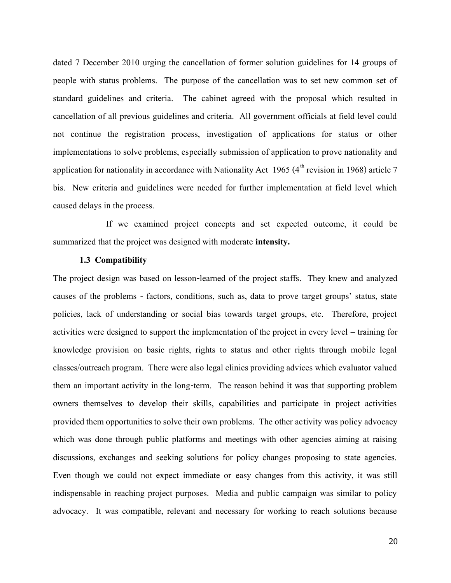dated 7 December 2010 urging the cancellation of former solution guidelines for 14 groups of people with status problems. The purpose of the cancellation was to set new common set of standard guidelines and criteria. The cabinet agreed with the proposal which resulted in cancellation of all previous guidelines and criteria. All government officials at field level could not continue the registration process, investigation of applications for status or other implementations to solve problems, especially submission of application to prove nationality and application for nationality in accordance with Nationality Act 1965 ( $4<sup>th</sup>$  revision in 1968) article 7 bis. New criteria and guidelines were needed for further implementation at field level which caused delays in the process.

If we examined project concepts and set expected outcome, it could be summarized that the project was designed with moderate **intensity.**

#### **1.3 Compatibility**

The project design was based on lesson-learned of the project staffs. They knew and analyzed causes of the problems - factors, conditions, such as, data to prove target groups' status, state policies, lack of understanding or social bias towards target groups, etc. Therefore, project activities were designed to support the implementation of the project in every level – training for knowledge provision on basic rights, rights to status and other rights through mobile legal classes/outreach program. There were also legal clinics providing advices which evaluator valued them an important activity in the long-term. The reason behind it was that supporting problem owners themselves to develop their skills, capabilities and participate in project activities provided them opportunities to solve their own problems. The other activity was policy advocacy which was done through public platforms and meetings with other agencies aiming at raising discussions, exchanges and seeking solutions for policy changes proposing to state agencies. Even though we could not expect immediate or easy changes from this activity, it was still indispensable in reaching project purposes. Media and public campaign was similar to policy advocacy. It was compatible, relevant and necessary for working to reach solutions because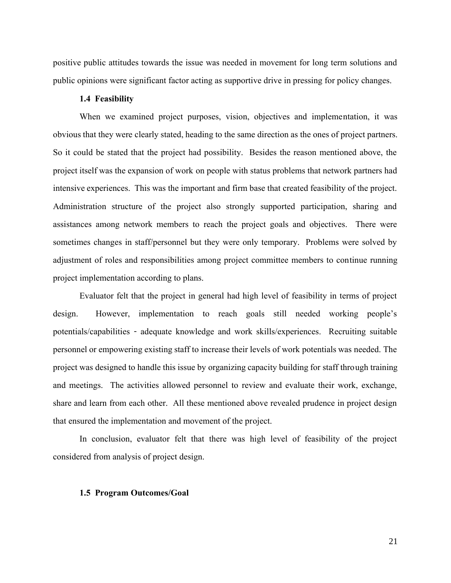positive public attitudes towards the issue was needed in movement for long term solutions and public opinions were significant factor acting as supportive drive in pressing for policy changes.

## **1.4 Feasibility**

When we examined project purposes, vision, objectives and implementation, it was obvious that they were clearly stated, heading to the same direction as the ones of project partners. So it could be stated that the project had possibility. Besides the reason mentioned above, the project itself was the expansion of work on people with status problems that network partners had intensive experiences. This was the important and firm base that created feasibility of the project. Administration structure of the project also strongly supported participation, sharing and assistances among network members to reach the project goals and objectives. There were sometimes changes in staff/personnel but they were only temporary. Problems were solved by adjustment of roles and responsibilities among project committee members to continue running project implementation according to plans.

Evaluator felt that the project in general had high level of feasibility in terms of project design. However, implementation to reach goals still needed working people's potentials/capabilities - adequate knowledge and work skills/experiences. Recruiting suitable personnel or empowering existing staff to increase their levels of work potentials was needed. The project was designed to handle this issue by organizing capacity building for staff through training and meetings. The activities allowed personnel to review and evaluate their work, exchange, share and learn from each other. All these mentioned above revealed prudence in project design that ensured the implementation and movement of the project.

In conclusion, evaluator felt that there was high level of feasibility of the project considered from analysis of project design.

#### **1.5 Program Outcomes/Goal**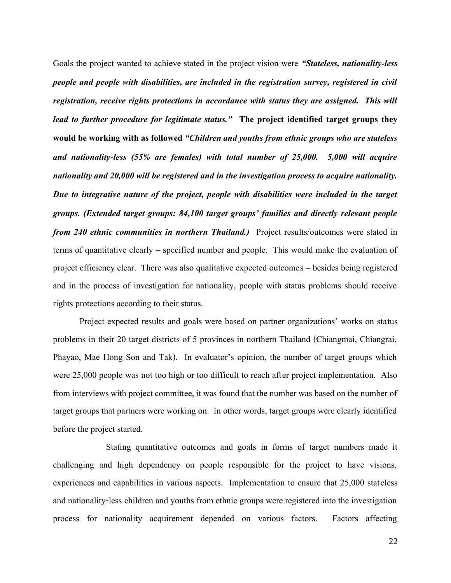Goals the project wanted to achieve stated in the project vision were *"Stateless, nationality-less people and people with disabilities, are included in the registration survey, registered in civil registration, receive rights protections in accordance with status they are assigned. This will lead to further procedure for legitimate status."* **The project identified target groups they would be working with as followed***"Children and youths from ethnic groups who are stateless and nationality-less (55% are females) with total number of 25,000. 5,000 will acquire nationality and 20,000 will be registered and in the investigation process to acquire nationality. Due to integrative nature of the project, people with disabilities were included in the target groups. (Extended target groups: 84,100 target groups' families and directly relevant people from 240 ethnic communities in northern Thailand.*) Project results/outcomes were stated in terms of quantitative clearly – specified number and people. This would make the evaluation of project efficiency clear. There was also qualitative expected outcomes – besides being registered and in the process of investigation for nationality, people with status problems should receive rights protections according to their status.

Project expected results and goals were based on partner organizations' works on status problems in their 20 target districts of 5 provinces in northern Thailand (Chiangmai, Chiangrai, Phayao, Mae Hong Son and Tak). In evaluator's opinion, the number of target groups which were 25,000 people was not too high or too difficult to reach after project implementation. Also from interviews with project committee, it was found that the number was based on the number of target groups that partners were working on. In other words, target groups were clearly identified before the project started.

Stating quantitative outcomes and goals in forms of target numbers made it challenging and high dependency on people responsible for the project to have visions, experiences and capabilities in various aspects. Implementation to ensure that 25,000 stateless and nationality-less children and youths from ethnic groups were registered into the investigation process for nationality acquirement depended on various factors. Factors affecting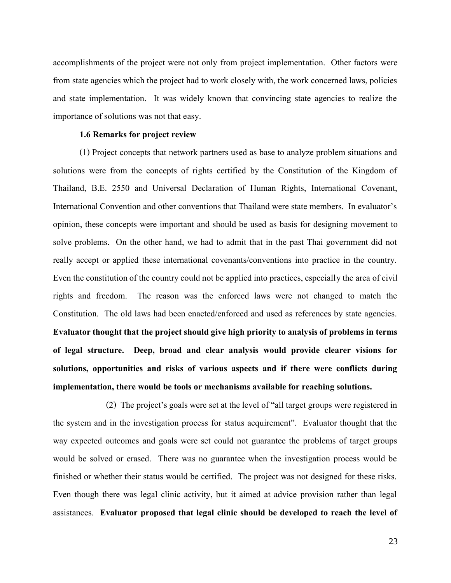accomplishments of the project were not only from project implementation. Other factors were from state agencies which the project had to work closely with, the work concerned laws, policies and state implementation. It was widely known that convincing state agencies to realize the importance of solutions was not that easy.

## **1.6 Remarks for project review**

(1) Project concepts that network partners used as base to analyze problem situations and solutions were from the concepts of rights certified by the Constitution of the Kingdom of Thailand, B.E. 2550 and Universal Declaration of Human Rights, International Covenant, International Convention and other conventions that Thailand were state members. In evaluator's opinion, these concepts were important and should be used as basis for designing movement to solve problems. On the other hand, we had to admit that in the past Thai government did not really accept or applied these international covenants/conventions into practice in the country. Even the constitution of the country could not be applied into practices, especially the area of civil rights and freedom. The reason was the enforced laws were not changed to match the Constitution. The old laws had been enacted/enforced and used as references by state agencies. **Evaluator thought that the project should give high priority to analysis of problems in terms of legal structure. Deep, broad and clear analysis would provide clearer visions for solutions, opportunities and risks of various aspects and if there were conflicts during implementation, there would be tools or mechanisms available for reaching solutions.**

(2) The project's goals were set at the level of "all target groups were registered in the system and in the investigation process for status acquirement". Evaluator thought that the way expected outcomes and goals were set could not guarantee the problems of target groups would be solved or erased. There was no guarantee when the investigation process would be finished or whether their status would be certified. The project was not designed for these risks. Even though there was legal clinic activity, but it aimed at advice provision rather than legal assistances. **Evaluator proposed that legal clinic should be developed to reach the level of** 

23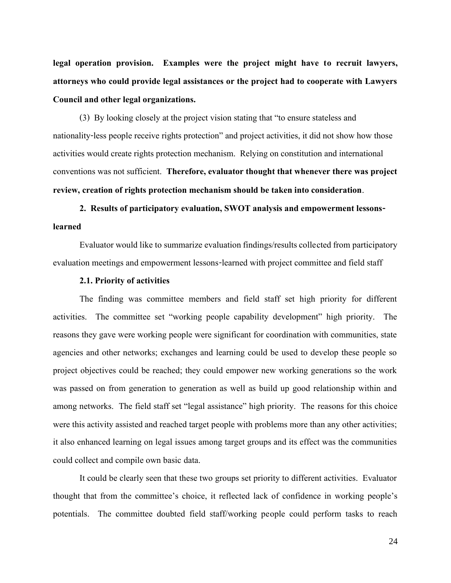**legal operation provision. Examples were the project might have to recruit lawyers, attorneys who could provide legal assistances or the project had to cooperate with Lawyers Council and other legal organizations.**

(3) By looking closely at the project vision stating that "to ensure stateless and nationality-less people receive rights protection" and project activities, it did not show how those activities would create rights protection mechanism. Relying on constitution and international conventions was not sufficient. **Therefore, evaluator thought that whenever there was project review, creation of rights protection mechanism should be taken into consideration**.

## **2. Results of participatory evaluation, SWOT analysis and empowerment lessonslearned**

Evaluator would like to summarize evaluation findings/results collected from participatory evaluation meetings and empowerment lessons-learned with project committee and field staff

## **2.1. Priority of activities**

The finding was committee members and field staff set high priority for different activities. The committee set "working people capability development" high priority. The reasons they gave were working people were significant for coordination with communities, state agencies and other networks; exchanges and learning could be used to develop these people so project objectives could be reached; they could empower new working generations so the work was passed on from generation to generation as well as build up good relationship within and among networks. The field staff set "legal assistance" high priority. The reasons for this choice were this activity assisted and reached target people with problems more than any other activities; it also enhanced learning on legal issues among target groups and its effect was the communities could collect and compile own basic data.

It could be clearly seen that these two groups set priority to different activities. Evaluator thought that from the committee's choice, it reflected lack of confidence in working people's potentials. The committee doubted field staff/working people could perform tasks to reach

24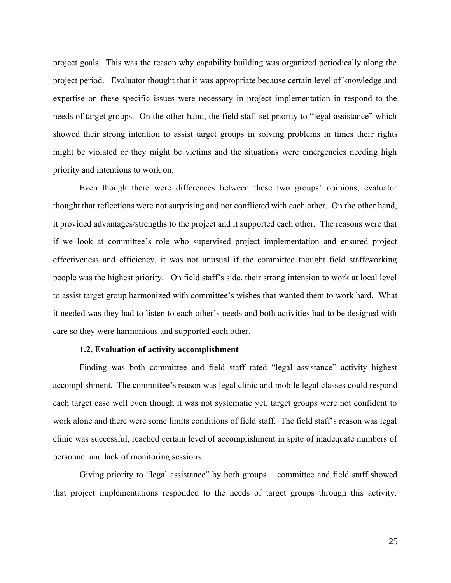project goals. This was the reason why capability building was organized periodically along the project period. Evaluator thought that it was appropriate because certain level of knowledge and expertise on these specific issues were necessary in project implementation in respond to the needs of target groups. On the other hand, the field staff set priority to "legal assistance" which showed their strong intention to assist target groups in solving problems in times their rights might be violated or they might be victims and the situations were emergencies needing high priority and intentions to work on.

Even though there were differences between these two groups' opinions, evaluator thought that reflections were not surprising and not conflicted with each other. On the other hand, it provided advantages/strengths to the project and it supported each other. The reasons were that if we look at committee's role who supervised project implementation and ensured project effectiveness and efficiency, it was not unusual if the committee thought field staff/working people was the highest priority. On field staff's side, their strong intension to work at local level to assist target group harmonized with committee's wishes that wanted them to work hard. What it needed was they had to listen to each other's needs and both activities had to be designed with care so they were harmonious and supported each other.

#### **1.2. Evaluation of activity accomplishment**

Finding was both committee and field staff rated "legal assistance" activity highest accomplishment. The committee's reason was legal clinic and mobile legal classes could respond each target case well even though it was not systematic yet, target groups were not confident to work alone and there were some limits conditions of field staff. The field staff's reason was legal clinic was successful, reached certain level of accomplishment in spite of inadequate numbers of personnel and lack of monitoring sessions.

Giving priority to "legal assistance" by both groups – committee and field staff showed that project implementations responded to the needs of target groups through this activity.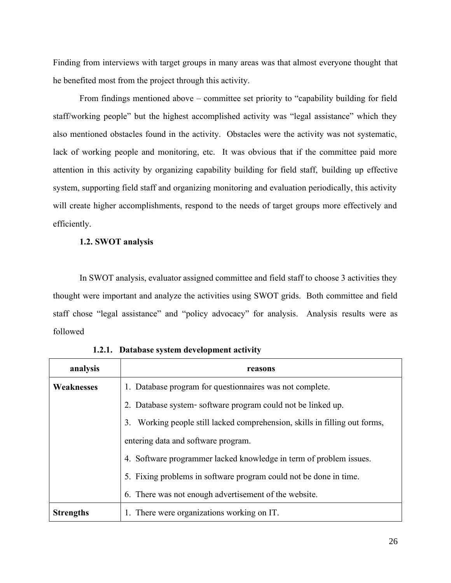Finding from interviews with target groups in many areas was that almost everyone thought that he benefited most from the project through this activity.

From findings mentioned above – committee set priority to "capability building for field staff/working people" but the highest accomplished activity was "legal assistance" which they also mentioned obstacles found in the activity. Obstacles were the activity was not systematic, lack of working people and monitoring, etc. It was obvious that if the committee paid more attention in this activity by organizing capability building for field staff, building up effective system, supporting field staff and organizing monitoring and evaluation periodically, this activity will create higher accomplishments, respond to the needs of target groups more effectively and efficiently.

## **1.2.SWOT analysis**

In SWOT analysis, evaluator assigned committee and field staff to choose 3 activities they thought were important and analyze the activities using SWOT grids. Both committee and field staff chose "legal assistance" and "policy advocacy" for analysis. Analysis results were as followed

| analysis          | reasons                                                                       |
|-------------------|-------------------------------------------------------------------------------|
| <b>Weaknesses</b> | 1. Database program for question aires was not complete.                      |
|                   | 2. Database system-software program could not be linked up.                   |
|                   | Working people still lacked comprehension, skills in filling out forms,<br>3. |
|                   | entering data and software program.                                           |
|                   | 4. Software programmer lacked knowledge in term of problem issues.            |
|                   | 5. Fixing problems in software program could not be done in time.             |
|                   | 6. There was not enough advertisement of the website.                         |
| <b>Strengths</b>  | 1. There were organizations working on IT.                                    |

**1.2.1. Database system development activity**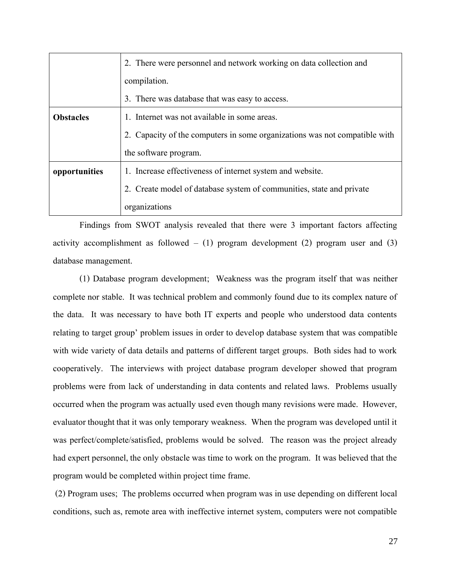|                  | 2. There were personnel and network working on data collection and         |
|------------------|----------------------------------------------------------------------------|
|                  | compilation.                                                               |
|                  | 3. There was database that was easy to access.                             |
| <b>Obstacles</b> | 1. Internet was not available in some areas.                               |
|                  | 2. Capacity of the computers in some organizations was not compatible with |
|                  | the software program.                                                      |
| opportunities    | 1. Increase effectiveness of internet system and website.                  |
|                  | 2. Create model of database system of communities, state and private       |
|                  | organizations                                                              |

Findings from SWOT analysis revealed that there were 3 important factors affecting activity accomplishment as followed  $-$  (1) program development (2) program user and (3) database management.

(1) Database program development; Weakness was the program itself that was neither complete nor stable. It was technical problem and commonly found due to its complex nature of the data. It was necessary to have both IT experts and people who understood data contents relating to target group' problem issues in order to develop database system that was compatible with wide variety of data details and patterns of different target groups. Both sides had to work cooperatively. The interviews with project database program developer showed that program problems were from lack of understanding in data contents and related laws. Problems usually occurred when the program was actually used even though many revisions were made. However, evaluator thought that it was only temporary weakness. When the program was developed until it was perfect/complete/satisfied, problems would be solved. The reason was the project already had expert personnel, the only obstacle was time to work on the program. It was believed that the program would be completed within project time frame.

(2) Program uses; The problems occurred when program was in use depending on different local conditions, such as, remote area with ineffective internet system, computers were not compatible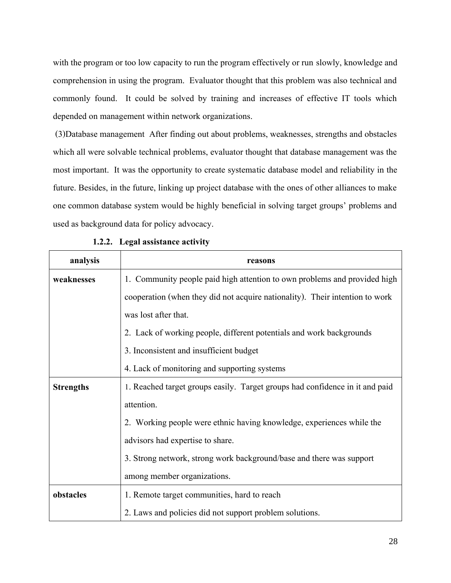with the program or too low capacity to run the program effectively or run slowly, knowledge and comprehension in using the program. Evaluator thought that this problem was also technical and commonly found. It could be solved by training and increases of effective IT tools which depended on management within network organizations.

(3)Database management After finding out about problems, weaknesses, strengths and obstacles which all were solvable technical problems, evaluator thought that database management was the most important. It was the opportunity to create systematic database model and reliability in the future. Besides, in the future, linking up project database with the ones of other alliances to make one common database system would be highly beneficial in solving target groups' problems and used as background data for policy advocacy.

| analysis         | reasons                                                                      |
|------------------|------------------------------------------------------------------------------|
| weaknesses       | 1. Community people paid high attention to own problems and provided high    |
|                  | cooperation (when they did not acquire nationality). Their intention to work |
|                  | was lost after that.                                                         |
|                  | 2. Lack of working people, different potentials and work backgrounds         |
|                  | 3. Inconsistent and insufficient budget                                      |
|                  | 4. Lack of monitoring and supporting systems                                 |
| <b>Strengths</b> | 1. Reached target groups easily. Target groups had confidence in it and paid |
|                  | attention.                                                                   |
|                  | 2. Working people were ethnic having knowledge, experiences while the        |
|                  | advisors had expertise to share.                                             |
|                  | 3. Strong network, strong work background/base and there was support         |
|                  | among member organizations.                                                  |
| obstacles        | 1. Remote target communities, hard to reach                                  |
|                  | 2. Laws and policies did not support problem solutions.                      |

|  | 1.2.2. Legal assistance activity |  |
|--|----------------------------------|--|
|  |                                  |  |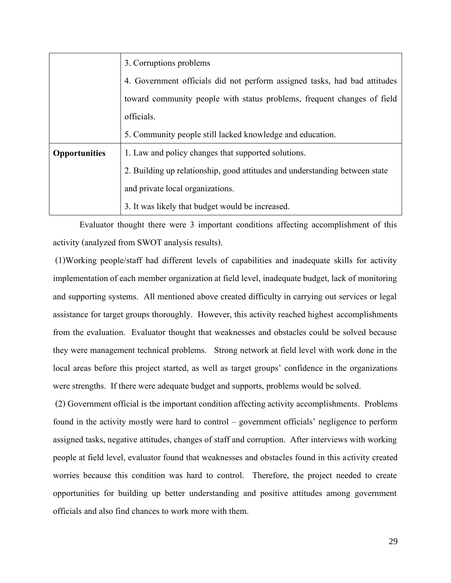|                      | 3. Corruptions problems                                                     |
|----------------------|-----------------------------------------------------------------------------|
|                      | 4. Government officials did not perform assigned tasks, had bad attitudes   |
|                      | toward community people with status problems, frequent changes of field     |
|                      | officials.                                                                  |
|                      | 5. Community people still lacked knowledge and education.                   |
| <b>Opportunities</b> | 1. Law and policy changes that supported solutions.                         |
|                      | 2. Building up relationship, good attitudes and understanding between state |
|                      | and private local organizations.                                            |
|                      | 3. It was likely that budget would be increased.                            |

Evaluator thought there were 3 important conditions affecting accomplishment of this activity (analyzed from SWOT analysis results).

(1)Working people/staff had different levels of capabilities and inadequate skills for activity implementation of each member organization at field level, inadequate budget, lack of monitoring and supporting systems. All mentioned above created difficulty in carrying out services or legal assistance for target groups thoroughly. However, this activity reached highest accomplishments from the evaluation. Evaluator thought that weaknesses and obstacles could be solved because they were management technical problems. Strong network at field level with work done in the local areas before this project started, as well as target groups' confidence in the organizations were strengths. If there were adequate budget and supports, problems would be solved.

(2) Government official is the important condition affecting activity accomplishments. Problems found in the activity mostly were hard to control – government officials' negligence to perform assigned tasks, negative attitudes, changes of staff and corruption. After interviews with working people at field level, evaluator found that weaknesses and obstacles found in this activity created worries because this condition was hard to control. Therefore, the project needed to create opportunities for building up better understanding and positive attitudes among government officials and also find chances to work more with them.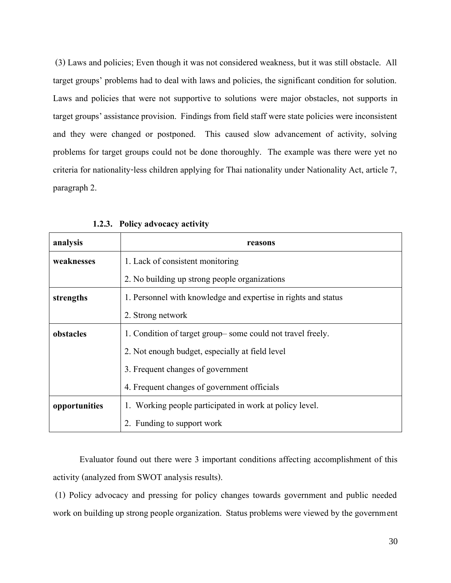(3) Laws and policies; Even though it was not considered weakness, but it was still obstacle. All target groups' problems had to deal with laws and policies, the significant condition for solution. Laws and policies that were not supportive to solutions were major obstacles, not supports in target groups' assistance provision. Findings from field staff were state policies were inconsistent and they were changed or postponed. This caused slow advancement of activity, solving problems for target groups could not be done thoroughly. The example was there were yet no criteria for nationality-less children applying for Thai nationality under Nationality Act, article 7, paragraph 2.

| analysis      | reasons                                                        |
|---------------|----------------------------------------------------------------|
| weaknesses    | 1. Lack of consistent monitoring                               |
|               | 2. No building up strong people organizations                  |
| strengths     | 1. Personnel with knowledge and expertise in rights and status |
|               | 2. Strong network                                              |
| obstacles     | 1. Condition of target group – some could not travel freely.   |
|               | 2. Not enough budget, especially at field level                |
|               | 3. Frequent changes of government                              |
|               | 4. Frequent changes of government officials                    |
| opportunities | 1. Working people participated in work at policy level.        |
|               | 2. Funding to support work                                     |

**1.2.3. Policy advocacy activity**

Evaluator found out there were 3 important conditions affecting accomplishment of this activity (analyzed from SWOT analysis results).

(1) Policy advocacy and pressing for policy changes towards government and public needed work on building up strong people organization. Status problems were viewed by the government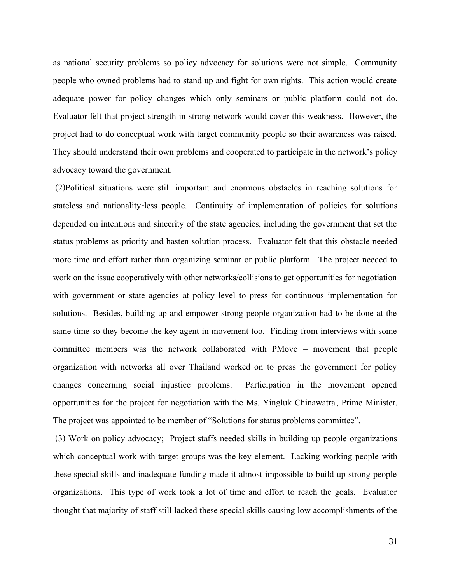as national security problems so policy advocacy for solutions were not simple. Community people who owned problems had to stand up and fight for own rights. This action would create adequate power for policy changes which only seminars or public platform could not do. Evaluator felt that project strength in strong network would cover this weakness. However, the project had to do conceptual work with target community people so their awareness was raised. They should understand their own problems and cooperated to participate in the network's policy advocacy toward the government.

(2)Political situations were still important and enormous obstacles in reaching solutions for stateless and nationality-less people. Continuity of implementation of policies for solutions depended on intentions and sincerity of the state agencies, including the government that set the status problems as priority and hasten solution process.Evaluator felt that this obstacle needed more time and effort rather than organizing seminar or public platform. The project needed to work on the issue cooperatively with other networks/collisions to get opportunities for negotiation with government or state agencies at policy level to press for continuous implementation for solutions. Besides, building up and empower strong people organization had to be done at the same time so they become the key agent in movement too. Finding from interviews with some committee members was the network collaborated with PMove – movement that people organization with networks all over Thailand worked on to press the government for policy changes concerning social injustice problems. Participation in the movement opened opportunities for the project for negotiation with the Ms. Yingluk Chinawatra, Prime Minister. The project was appointed to be member of "Solutions for status problems committee".

(3) Work on policy advocacy; Project staffs needed skills in building up people organizations which conceptual work with target groups was the key element. Lacking working people with these special skills and inadequate funding made it almost impossible to build up strong people organizations. This type of work took a lot of time and effort to reach the goals. Evaluator thought that majority of staff still lacked these special skills causing low accomplishments of the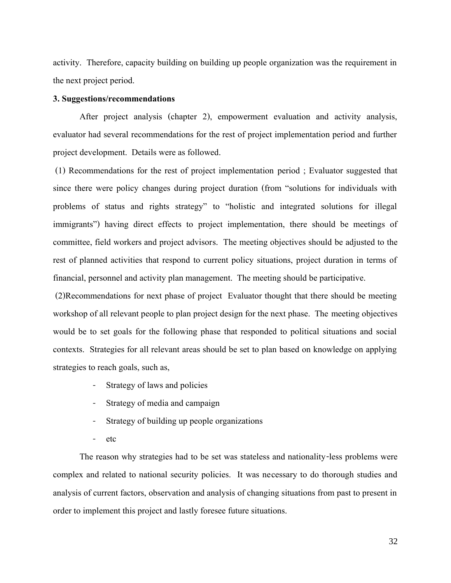activity. Therefore, capacity building on building up people organization was the requirement in the next project period.

## **3.Suggestions/recommendations**

After project analysis (chapter 2), empowerment evaluation and activity analysis, evaluator had several recommendations for the rest of project implementation period and further project development. Details were as followed.

(1) Recommendations for the rest of project implementation period ; Evaluator suggested that since there were policy changes during project duration (from "solutions for individuals with problems of status and rights strategy" to "holistic and integrated solutions for illegal immigrants") having direct effects to project implementation, there should be meetings of committee, field workers and project advisors. The meeting objectives should be adjusted to the rest of planned activities that respond to current policy situations, project duration in terms of financial, personnel and activity plan management. The meeting should be participative.

(2)Recommendations for next phase of project Evaluator thought that there should be meeting workshop of all relevant people to plan project design for the next phase. The meeting objectives would be to set goals for the following phase that responded to political situations and social contexts. Strategies for all relevant areas should be set to plan based on knowledge on applying strategies to reach goals, such as,

- Strategy of laws and policies
- Strategy of media and campaign
- Strategy of building up people organizations
- etc

The reason why strategies had to be set was stateless and nationality-less problems were complex and related to national security policies. It was necessary to do thorough studies and analysis of current factors, observation and analysis of changing situations from past to present in order to implement this project and lastly foresee future situations.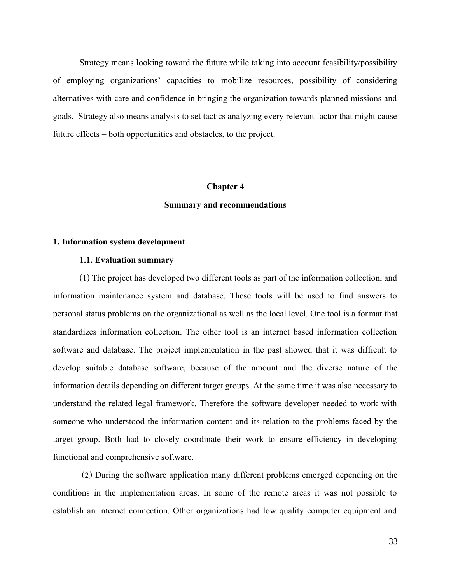Strategy means looking toward the future while taking into account feasibility/possibility of employing organizations' capacities to mobilize resources, possibility of considering alternatives with care and confidence in bringing the organization towards planned missions and goals. Strategy also means analysis to set tactics analyzing every relevant factor that might cause future effects – both opportunities and obstacles, to the project.

#### **Chapter 4**

## **Summary and recommendations**

#### **1. Information system development**

#### **1.1. Evaluation summary**

(1) The project has developed two different tools as part of the information collection, and information maintenance system and database. These tools will be used to find answers to personal status problems on the organizational as well as the local level. One tool is a format that standardizes information collection. The other tool is an internet based information collection software and database. The project implementation in the past showed that it was difficult to develop suitable database software, because of the amount and the diverse nature of the information details depending on different target groups. At the same time it was also necessary to understand the related legal framework. Therefore the software developer needed to work with someone who understood the information content and its relation to the problems faced by the target group. Both had to closely coordinate their work to ensure efficiency in developing functional and comprehensive software.

(2) During the software application many different problems emerged depending on the conditions in the implementation areas. In some of the remote areas it was not possible to establish an internet connection. Other organizations had low quality computer equipment and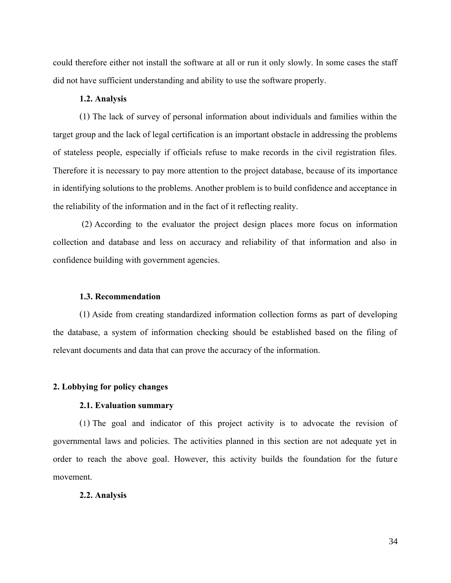could therefore either not install the software at all or run it only slowly. In some cases the staff did not have sufficient understanding and ability to use the software properly.

## **1.2. Analysis**

(1) The lack of survey of personal information about individuals and families within the target group and the lack of legal certification is an important obstacle in addressing the problems of stateless people, especially if officials refuse to make records in the civil registration files. Therefore it is necessary to pay more attention to the project database, because of its importance in identifying solutions to the problems. Another problem is to build confidence and acceptance in the reliability of the information and in the fact of it reflecting reality.

(2) According to the evaluator the project design places more focus on information collection and database and less on accuracy and reliability of that information and also in confidence building with government agencies.

## **1.3. Recommendation**

(1) Aside from creating standardized information collection forms as part of developing the database, a system of information checking should be established based on the filing of relevant documents and data that can prove the accuracy of the information.

#### **2. Lobbying for policy changes**

## **2.1. Evaluation summary**

(1) The goal and indicator of this project activity is to advocate the revision of governmental laws and policies. The activities planned in this section are not adequate yet in order to reach the above goal. However, this activity builds the foundation for the future movement.

#### **2.2. Analysis**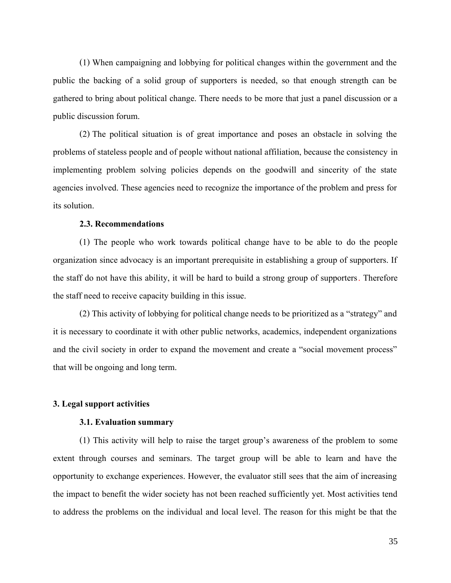(1) When campaigning and lobbying for political changes within the government and the public the backing of a solid group of supporters is needed, so that enough strength can be gathered to bring about political change. There needs to be more that just a panel discussion or a public discussion forum.

(2) The political situation is of great importance and poses an obstacle in solving the problems of stateless people and of people without national affiliation, because the consistency in implementing problem solving policies depends on the goodwill and sincerity of the state agencies involved. These agencies need to recognize the importance of the problem and press for its solution.

## **2.3. Recommendations**

(1) The people who work towards political change have to be able to do the people organization since advocacy is an important prerequisite in establishing a group of supporters. If the staff do not have this ability, it will be hard to build a strong group of supporters. Therefore the staff need to receive capacity building in this issue.

(2) This activity of lobbying for political change needs to be prioritized as a "strategy" and it is necessary to coordinate it with other public networks, academics, independent organizations and the civil society in order to expand the movement and create a "social movement process" that will be ongoing and long term.

## **3. Legal support activities**

## **3.1. Evaluation summary**

(1) This activity will help to raise the target group's awareness of the problem to some extent through courses and seminars. The target group will be able to learn and have the opportunity to exchange experiences. However, the evaluator still sees that the aim of increasing the impact to benefit the wider society has not been reached sufficiently yet. Most activities tend to address the problems on the individual and local level. The reason for this might be that the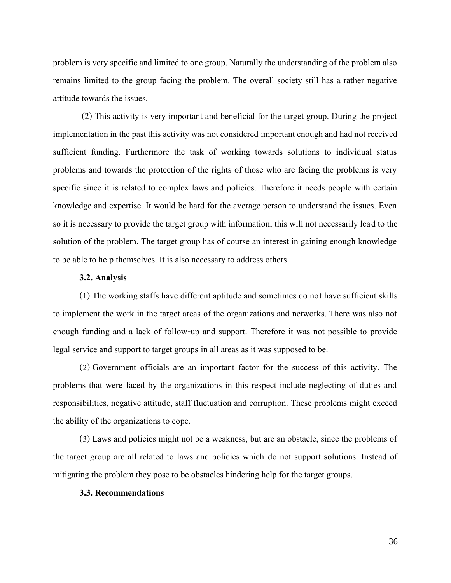problem is very specific and limited to one group. Naturally the understanding of the problem also remains limited to the group facing the problem. The overall society still has a rather negative attitude towards the issues.

(2) This activity is very important and beneficial for the target group. During the project implementation in the past this activity was not considered important enough and had not received sufficient funding. Furthermore the task of working towards solutions to individual status problems and towards the protection of the rights of those who are facing the problems is very specific since it is related to complex laws and policies. Therefore it needs people with certain knowledge and expertise. It would be hard for the average person to understand the issues. Even so it is necessary to provide the target group with information; this will not necessarily lead to the solution of the problem. The target group has of course an interest in gaining enough knowledge to be able to help themselves. It is also necessary to address others.

#### **3.2. Analysis**

(1) The working staffs have different aptitude and sometimes do not have sufficient skills to implement the work in the target areas of the organizations and networks. There was also not enough funding and a lack of follow-up and support. Therefore it was not possible to provide legal service and support to target groups in all areas as it was supposed to be.

(2) Government officials are an important factor for the success of this activity. The problems that were faced by the organizations in this respect include neglecting of duties and responsibilities, negative attitude, staff fluctuation and corruption. These problems might exceed the ability of the organizations to cope.

(3) Laws and policies might not be a weakness, but are an obstacle, since the problems of the target group are all related to laws and policies which do not support solutions. Instead of mitigating the problem they pose to be obstacles hindering help for the target groups.

#### **3.3. Recommendations**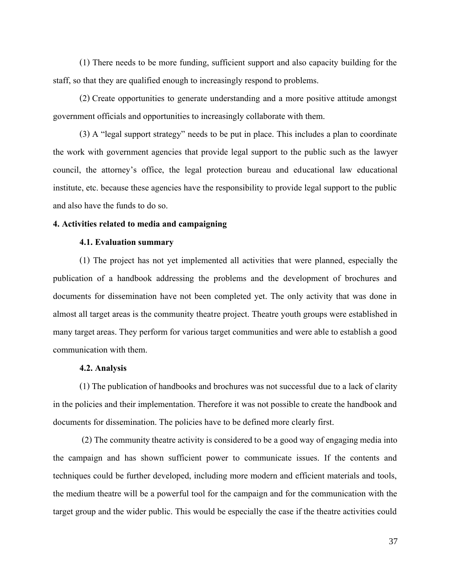(1) There needs to be more funding, sufficient support and also capacity building for the staff, so that they are qualified enough to increasingly respond to problems.

(2) Create opportunities to generate understanding and a more positive attitude amongst government officials and opportunities to increasingly collaborate with them.

(3) A "legal support strategy" needs to be put in place. This includes a plan to coordinate the work with government agencies that provide legal support to the public such as the lawyer council, the attorney's office, the legal protection bureau and educational law educational institute, etc. because these agencies have the responsibility to provide legal support to the public and also have the funds to do so.

## **4. Activities related to media and campaigning**

## **4.1. Evaluation summary**

(1) The project has not yet implemented all activities that were planned, especially the publication of a handbook addressing the problems and the development of brochures and documents for dissemination have not been completed yet. The only activity that was done in almost all target areas is the community theatre project. Theatre youth groups were established in many target areas. They perform for various target communities and were able to establish a good communication with them.

## **4.2. Analysis**

(1) The publication of handbooks and brochures was not successful due to a lack of clarity in the policies and their implementation. Therefore it was not possible to create the handbook and documents for dissemination. The policies have to be defined more clearly first.

(2) The community theatre activity is considered to be a good way of engaging media into the campaign and has shown sufficient power to communicate issues. If the contents and techniques could be further developed, including more modern and efficient materials and tools, the medium theatre will be a powerful tool for the campaign and for the communication with the target group and the wider public. This would be especially the case if the theatre activities could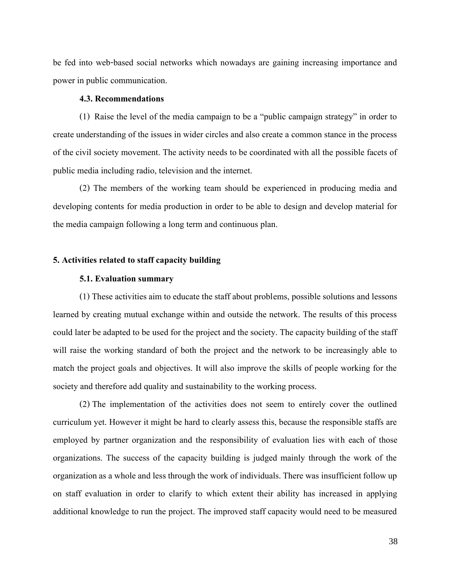be fed into web-based social networks which nowadays are gaining increasing importance and power in public communication.

#### **4.3. Recommendations**

(1) Raise the level of the media campaign to be a "public campaign strategy" in order to create understanding of the issues in wider circles and also create a common stance in the process of the civil society movement. The activity needs to be coordinated with all the possible facets of public media including radio, television and the internet.

(2) The members of the working team should be experienced in producing media and developing contents for media production in order to be able to design and develop material for the media campaign following a long term and continuous plan.

## **5. Activities related to staff capacity building**

## **5.1. Evaluation summary**

(1) These activities aim to educate the staff about problems, possible solutions and lessons learned by creating mutual exchange within and outside the network. The results of this process could later be adapted to be used for the project and the society. The capacity building of the staff will raise the working standard of both the project and the network to be increasingly able to match the project goals and objectives. It will also improve the skills of people working for the society and therefore add quality and sustainability to the working process.

(2) The implementation of the activities does not seem to entirely cover the outlined curriculum yet. However it might be hard to clearly assess this, because the responsible staffs are employed by partner organization and the responsibility of evaluation lies with each of those organizations. The success of the capacity building is judged mainly through the work of the organization as a whole and less through the work of individuals. There was insufficient follow up on staff evaluation in order to clarify to which extent their ability has increased in applying additional knowledge to run the project. The improved staff capacity would need to be measured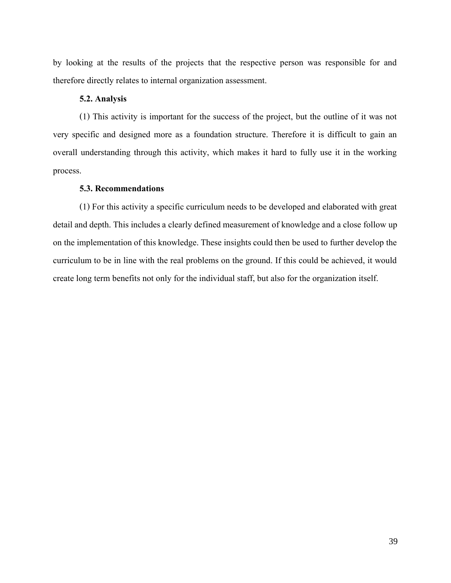by looking at the results of the projects that the respective person was responsible for and therefore directly relates to internal organization assessment.

## **5.2. Analysis**

(1) This activity is important for the success of the project, but the outline of it was not very specific and designed more as a foundation structure. Therefore it is difficult to gain an overall understanding through this activity, which makes it hard to fully use it in the working process.

## **5.3. Recommendations**

(1) For this activity a specific curriculum needs to be developed and elaborated with great detail and depth. This includes a clearly defined measurement of knowledge and a close follow up on the implementation of this knowledge. These insights could then be used to further develop the curriculum to be in line with the real problems on the ground. If this could be achieved, it would create long term benefits not only for the individual staff, but also for the organization itself.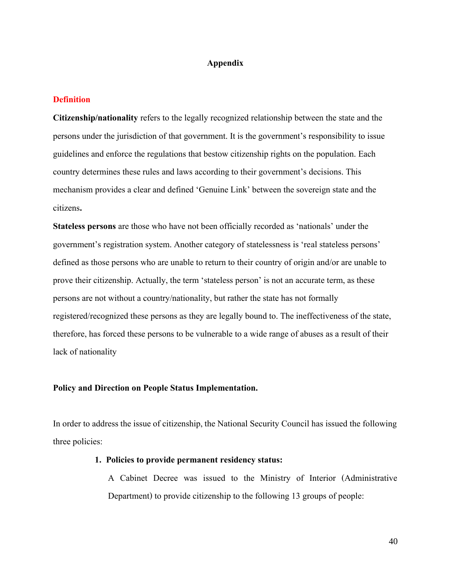## **Appendix**

## **Definition**

**Citizenship/nationality** refers to the legally recognized relationship between the state and the persons under the jurisdiction of that government. It is the government's responsibility to issue guidelines and enforce the regulations that bestow citizenship rights on the population. Each country determines these rules and laws according to their government's decisions. This mechanism provides a clear and defined 'Genuine Link' between the sovereign state and the citizens**.**

**Stateless persons** are those who have not been officially recorded as 'nationals' under the government's registration system. Another category of statelessness is 'real stateless persons' defined as those persons who are unable to return to their country of origin and/or are unable to prove their citizenship. Actually, the term 'stateless person' is not an accurate term, as these persons are not without a country/nationality, but rather the state has not formally registered/recognized these persons as they are legally bound to. The ineffectiveness of the state, therefore, has forced these persons to be vulnerable to a wide range of abuses as a result of their lack of nationality

## **Policy and Direction on People Status Implementation.**

In order to address the issue of citizenship, the National Security Council has issued the following three policies:

## **1. Policies to provide permanent residency status:**

A Cabinet Decree was issued to the Ministry of Interior (Administrative Department) to provide citizenship to the following 13 groups of people: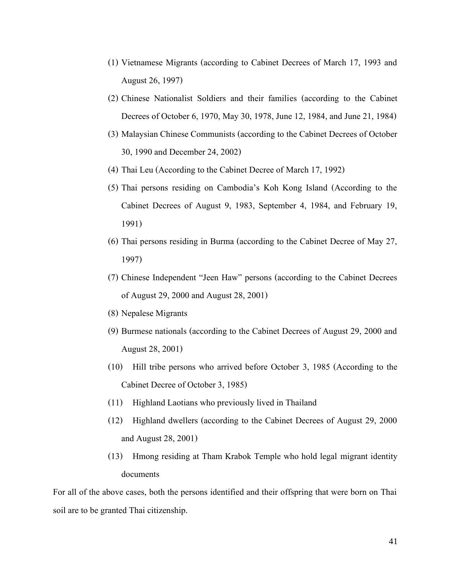- (1) Vietnamese Migrants (according to Cabinet Decrees of March 17, 1993 and August 26, 1997)
- (2) Chinese Nationalist Soldiers and their families (according to the Cabinet Decrees of October 6, 1970, May 30, 1978, June 12, 1984, and June 21, 1984)
- (3) Malaysian Chinese Communists (according to the Cabinet Decrees of October 30, 1990 and December 24, 2002)
- (4) Thai Leu (According to the Cabinet Decree of March 17, 1992)
- (5) Thai persons residing on Cambodia's Koh Kong Island (According to the Cabinet Decrees of August 9, 1983, September 4, 1984, and February 19, 1991)
- (6) Thai persons residing in Burma (according to the Cabinet Decree of May 27, 1997)
- (7) Chinese Independent "Jeen Haw" persons (according to the Cabinet Decrees of August 29, 2000 and August 28, 2001)
- (8) Nepalese Migrants
- (9) Burmese nationals (according to the Cabinet Decrees of August 29, 2000 and August 28, 2001)
- (10) Hill tribe persons who arrived before October 3, 1985 (According to the Cabinet Decree of October 3, 1985)
- (11) Highland Laotians who previously lived in Thailand
- (12) Highland dwellers (according to the Cabinet Decrees of August 29, 2000 and August 28, 2001)
- (13) Hmong residing at Tham Krabok Temple who hold legal migrant identity documents

For all of the above cases, both the persons identified and their offspring that were born on Thai soil are to be granted Thai citizenship.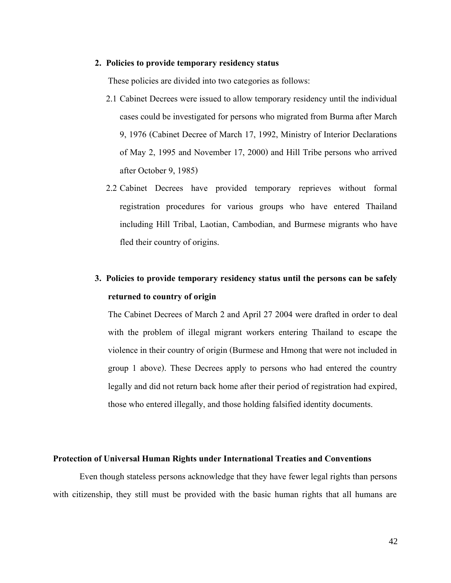## **2. Policies to provide temporary residency status**

These policies are divided into two categories as follows:

- 2.1 Cabinet Decrees were issued to allow temporary residency until the individual cases could be investigated for persons who migrated from Burma after March 9, 1976 (Cabinet Decree of March 17, 1992, Ministry of Interior Declarations of May 2, 1995 and November 17, 2000) and Hill Tribe persons who arrived after October 9, 1985)
- 2.2 Cabinet Decrees have provided temporary reprieves without formal registration procedures for various groups who have entered Thailand including Hill Tribal, Laotian, Cambodian, and Burmese migrants who have fled their country of origins.

## **3. Policies to provide temporary residency status until the persons can be safely returned to country of origin**

The Cabinet Decrees of March 2 and April 27 2004 were drafted in order to deal with the problem of illegal migrant workers entering Thailand to escape the violence in their country of origin (Burmese and Hmong that were not included in group 1 above). These Decrees apply to persons who had entered the country legally and did not return back home after their period of registration had expired, those who entered illegally, and those holding falsified identity documents.

## **Protection of Universal Human Rights under International Treaties and Conventions**

Even though stateless persons acknowledge that they have fewer legal rights than persons with citizenship, they still must be provided with the basic human rights that all humans are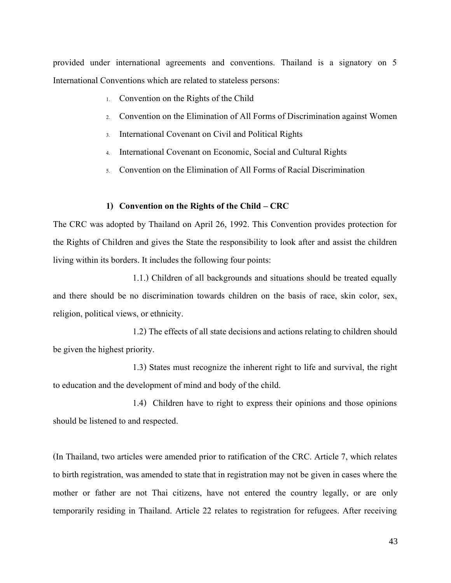provided under international agreements and conventions. Thailand is a signatory on 5 International Conventions which are related to stateless persons:

- 1. Convention on the Rights of the Child
- 2. Convention on the Elimination of All Forms of Discrimination against Women
- 3. International Covenant on Civil and Political Rights
- 4. International Covenant on Economic, Social and Cultural Rights
- 5. Convention on the Elimination of All Forms of Racial Discrimination

## **1) Convention on the Rights of the Child – CRC**

The CRC was adopted by Thailand on April 26, 1992. This Convention provides protection for the Rights of Children and gives the State the responsibility to look after and assist the children living within its borders. It includes the following four points:

1.1.) Children of all backgrounds and situations should be treated equally and there should be no discrimination towards children on the basis of race, skin color, sex, religion, political views, or ethnicity.

1.2) The effects of all state decisions and actions relating to children should be given the highest priority.

1.3) States must recognize the inherent right to life and survival, the right to education and the development of mind and body of the child.

1.4) Children have to right to express their opinions and those opinions should be listened to and respected.

(In Thailand, two articles were amended prior to ratification of the CRC. Article 7, which relates to birth registration, was amended to state that in registration may not be given in cases where the mother or father are not Thai citizens, have not entered the country legally, or are only temporarily residing in Thailand. Article 22 relates to registration for refugees. After receiving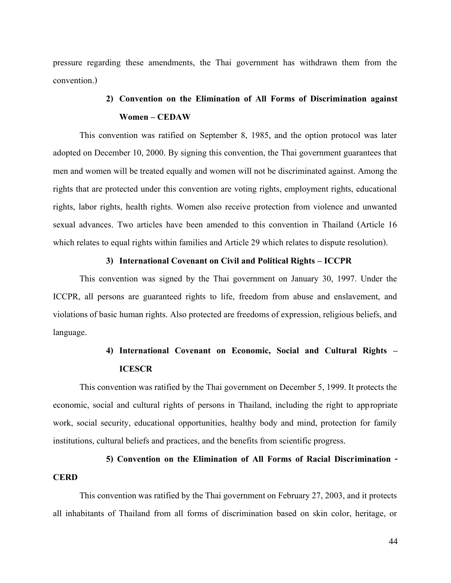pressure regarding these amendments, the Thai government has withdrawn them from the convention.)

## **2) Convention on the Elimination of All Forms of Discrimination against Women – CEDAW**

This convention was ratified on September 8, 1985, and the option protocol was later adopted on December 10, 2000. By signing this convention, the Thai government guarantees that men and women will be treated equally and women will not be discriminated against. Among the rights that are protected under this convention are voting rights, employment rights, educational rights, labor rights, health rights. Women also receive protection from violence and unwanted sexual advances. Two articles have been amended to this convention in Thailand (Article 16 which relates to equal rights within families and Article 29 which relates to dispute resolution).

### **3) International Covenant on Civil and Political Rights – ICCPR**

This convention was signed by the Thai government on January 30, 1997. Under the ICCPR, all persons are guaranteed rights to life, freedom from abuse and enslavement, and violations of basic human rights. Also protected are freedoms of expression, religious beliefs, and language.

## **4) International Covenant on Economic, Social and Cultural Rights – ICESCR**

This convention was ratified by the Thai government on December 5, 1999. It protects the economic, social and cultural rights of persons in Thailand, including the right to appropriate work, social security, educational opportunities, healthy body and mind, protection for family institutions, cultural beliefs and practices, and the benefits from scientific progress.

## **5) Convention on the Elimination of All Forms of Racial Discrimination - CERD**

This convention was ratified by the Thai government on February 27, 2003, and it protects all inhabitants of Thailand from all forms of discrimination based on skin color, heritage, or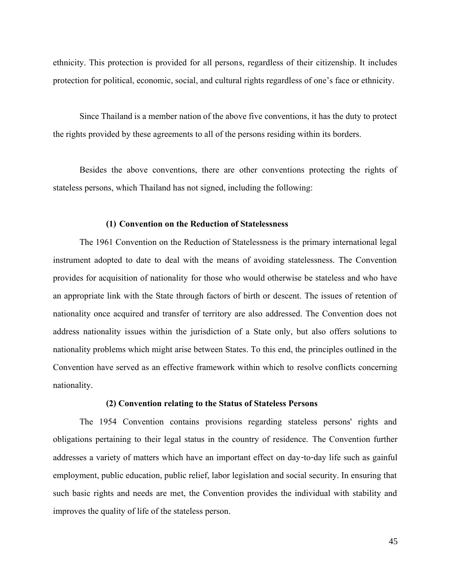ethnicity. This protection is provided for all persons, regardless of their citizenship. It includes protection for political, economic, social, and cultural rights regardless of one's face or ethnicity.

Since Thailand is a member nation of the above five conventions, it has the duty to protect the rights provided by these agreements to all of the persons residing within its borders.

Besides the above conventions, there are other conventions protecting the rights of stateless persons, which Thailand has not signed, including the following:

## **(1) Conventionon the Reduction of Statelessness**

The 1961 Convention on the Reduction of Statelessness is the primary international legal instrument adopted to date to deal with the means of avoiding statelessness. The Convention provides for acquisition of nationality for those who would otherwise be stateless and who have an appropriate link with the State through factors of birth or descent. The issues of retention of nationality once acquired and transfer of territory are also addressed. The Convention does not address nationality issues within the jurisdiction of a State only, but also offers solutions to nationality problems which might arise between States. To this end, the principles outlined in the Convention have served as an effective framework within which to resolve conflicts concerning nationality.

#### **(2) Convention relating to the Status of Stateless Persons**

The 1954 Convention contains provisions regarding stateless persons' rights and obligations pertaining to their legal status in the country of residence. The Convention further addresses a variety of matters which have an important effect on day-to-day life such as gainful employment, public education, public relief, labor legislation and social security. In ensuring that such basic rights and needs are met, the Convention provides the individual with stability and improves the quality of life of the stateless person.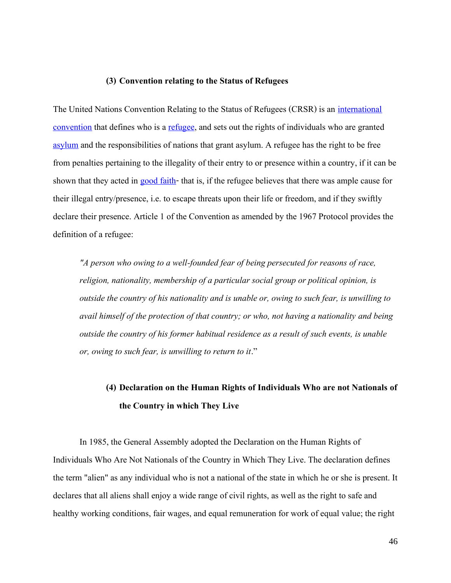## **(3) Convention relating to the Status of Refugees**

The United Nations Convention Relating to the Status of Refugees (CRSR) is an [international](http://en.wikipedia.org/wiki/International_convention)  [convention](http://en.wikipedia.org/wiki/International_convention) that defines who is a [refugee,](http://en.wikipedia.org/wiki/Refugee) and sets out the rights of individuals who are granted [asylum](http://en.wikipedia.org/wiki/Right_of_asylum) and the responsibilities of nations that grant asylum. A refugee has the right to be free from penalties pertaining to the illegality of their entry to or presence within a country, if it can be shown that they acted in [good faith-](http://en.wikipedia.org/wiki/Good_faith) that is, if the refugee believes that there was ample cause for their illegal entry/presence, i.e. to escape threats upon their life or freedom, and if they swiftly declare their presence. Article 1 of the Convention as amended by the 1967 Protocol provides the definition of a refugee:

*"A person who owing to a well-founded fear of being persecuted for reasons of race, religion, nationality, membership of a particular social group or political opinion, is outside the country of his nationality and is unable or, owing to such fear, is unwilling to avail himself of the protection of that country; or who, not having a nationality and being outside the country of his former habitual residence as a result of such events, is unable or, owing to such fear, is unwilling to return to it*."

## **(4) Declaration on the Human Rights of Individuals Who are not Nationals of the Country in which They Live**

In 1985, the General Assembly adopted the Declaration on the Human Rights of Individuals Who Are Not Nationals of the Country in Which They Live. The declaration defines the term "alien" as any individual who is not a national of the state in which he or she is present. It declares that all aliens shall enjoy a wide range of civil rights, as well as the right to safe and healthy working conditions, fair wages, and equal remuneration for work of equal value; the right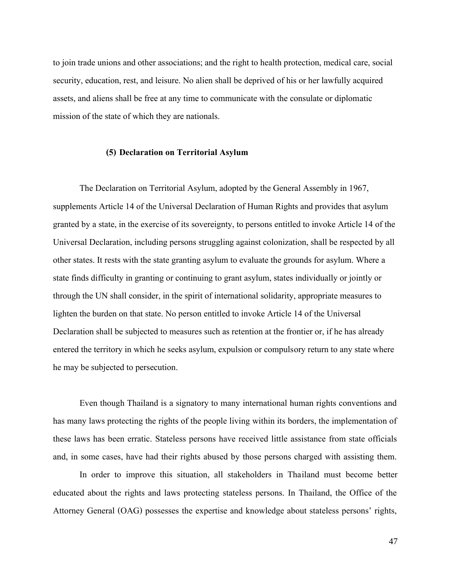to join trade unions and other associations; and the right to health protection, medical care, social security, education, rest, and leisure. No alien shall be deprived of his or her lawfully acquired assets, and aliens shall be free at any time to communicate with the consulate or diplomatic mission of the state of which they are nationals.

#### **(5) Declaration on Territorial Asylum**

The Declaration on Territorial Asylum, adopted by the General Assembly in 1967, supplements Article 14 of the Universal Declaration of Human Rights and provides that asylum granted by a state, in the exercise of its sovereignty, to persons entitled to invoke Article 14 of the Universal Declaration, including persons struggling against colonization, shall be respected by all other states. It rests with the state granting asylum to evaluate the grounds for asylum. Where a state finds difficulty in granting or continuing to grant asylum, states individually or jointly or through the UN shall consider, in the spirit of international solidarity, appropriate measures to lighten the burden on that state. No person entitled to invoke Article 14 of the Universal Declaration shall be subjected to measures such as retention at the frontier or, if he has already entered the territory in which he seeks asylum, expulsion or compulsory return to any state where he may be subjected to persecution.

Even though Thailand is a signatory to many international human rights conventions and has many laws protecting the rights of the people living within its borders, the implementation of these laws has been erratic. Stateless persons have received little assistance from state officials and, in some cases, have had their rights abused by those persons charged with assisting them.

In order to improve this situation, all stakeholders in Thailand must become better educated about the rights and laws protecting stateless persons. In Thailand, the Office of the Attorney General (OAG) possesses the expertise and knowledge about stateless persons' rights,